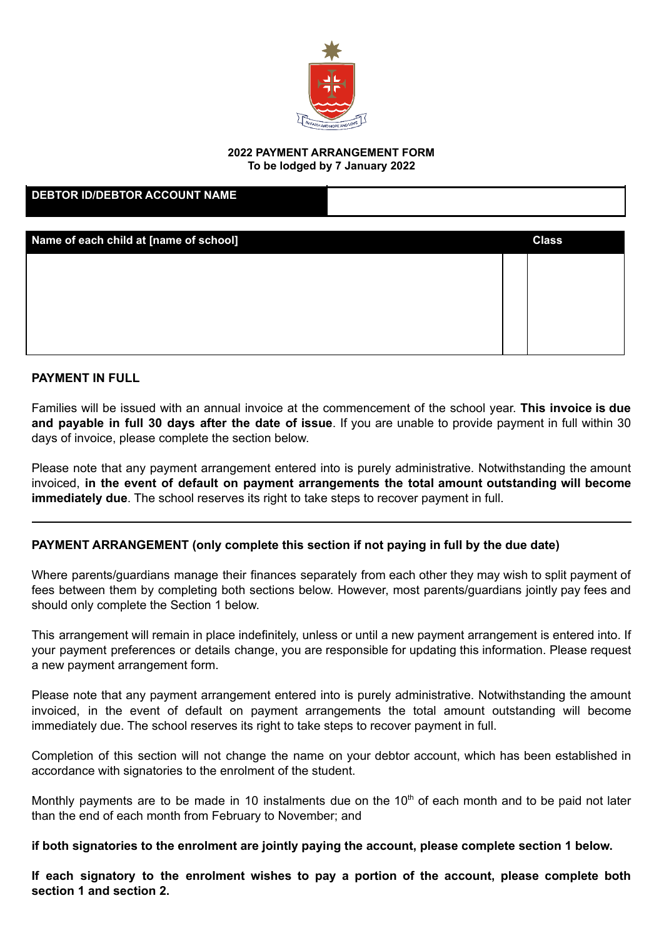

# **2022 PAYMENT ARRANGEMENT FORM**

**To be lodged by 7 January 2022**

| <b>DEBTOR ID/DEBTOR ACCOUNT NAME</b>   |              |
|----------------------------------------|--------------|
| Name of each child at [name of school] | <b>Class</b> |
|                                        |              |
|                                        |              |
|                                        |              |
|                                        |              |

#### **PAYMENT IN FULL**

Families will be issued with an annual invoice at the commencement of the school year. **This invoice is due and payable in full 30 days after the date of issue**. If you are unable to provide payment in full within 30 days of invoice, please complete the section below.

Please note that any payment arrangement entered into is purely administrative. Notwithstanding the amount invoiced, **in the event of default on payment arrangements the total amount outstanding will become immediately due**. The school reserves its right to take steps to recover payment in full.

### **PAYMENT ARRANGEMENT (only complete this section if not paying in full by the due date)**

Where parents/guardians manage their finances separately from each other they may wish to split payment of fees between them by completing both sections below. However, most parents/guardians jointly pay fees and should only complete the Section 1 below.

This arrangement will remain in place indefinitely, unless or until a new payment arrangement is entered into. If your payment preferences or details change, you are responsible for updating this information. Please request a new payment arrangement form.

Please note that any payment arrangement entered into is purely administrative. Notwithstanding the amount invoiced, in the event of default on payment arrangements the total amount outstanding will become immediately due. The school reserves its right to take steps to recover payment in full.

Completion of this section will not change the name on your debtor account, which has been established in accordance with signatories to the enrolment of the student.

Monthly payments are to be made in 10 instalments due on the  $10<sup>th</sup>$  of each month and to be paid not later than the end of each month from February to November; and

**if both signatories to the enrolment are jointly paying the account, please complete section 1 below.**

**If each signatory to the enrolment wishes to pay a portion of the account, please complete both section 1 and section 2.**